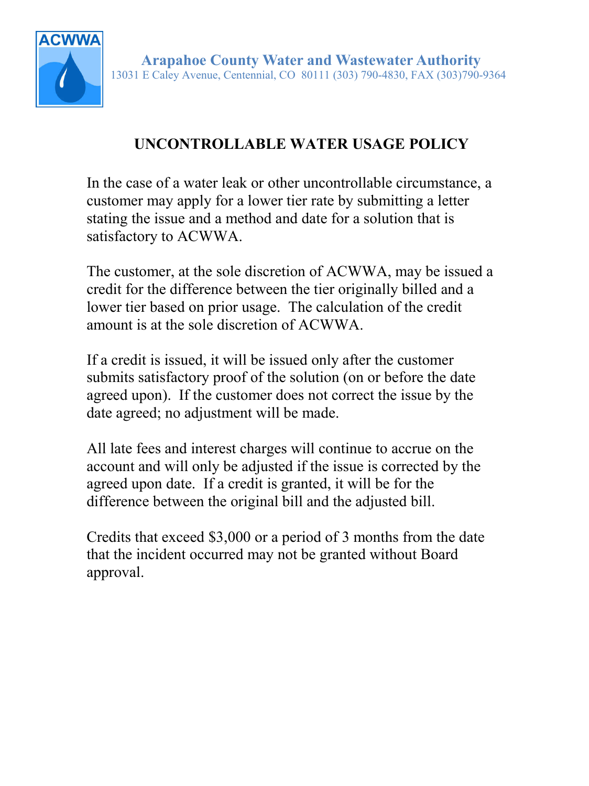

## **UNCONTROLLABLE WATER USAGE POLICY**

In the case of a water leak or other uncontrollable circumstance, a customer may apply for a lower tier rate by submitting a letter stating the issue and a method and date for a solution that is satisfactory to ACWWA.

The customer, at the sole discretion of ACWWA, may be issued a credit for the difference between the tier originally billed and a lower tier based on prior usage. The calculation of the credit amount is at the sole discretion of ACWWA.

If a credit is issued, it will be issued only after the customer submits satisfactory proof of the solution (on or before the date agreed upon). If the customer does not correct the issue by the date agreed; no adjustment will be made.

All late fees and interest charges will continue to accrue on the account and will only be adjusted if the issue is corrected by the agreed upon date. If a credit is granted, it will be for the difference between the original bill and the adjusted bill.

Credits that exceed \$3,000 or a period of 3 months from the date that the incident occurred may not be granted without Board approval.